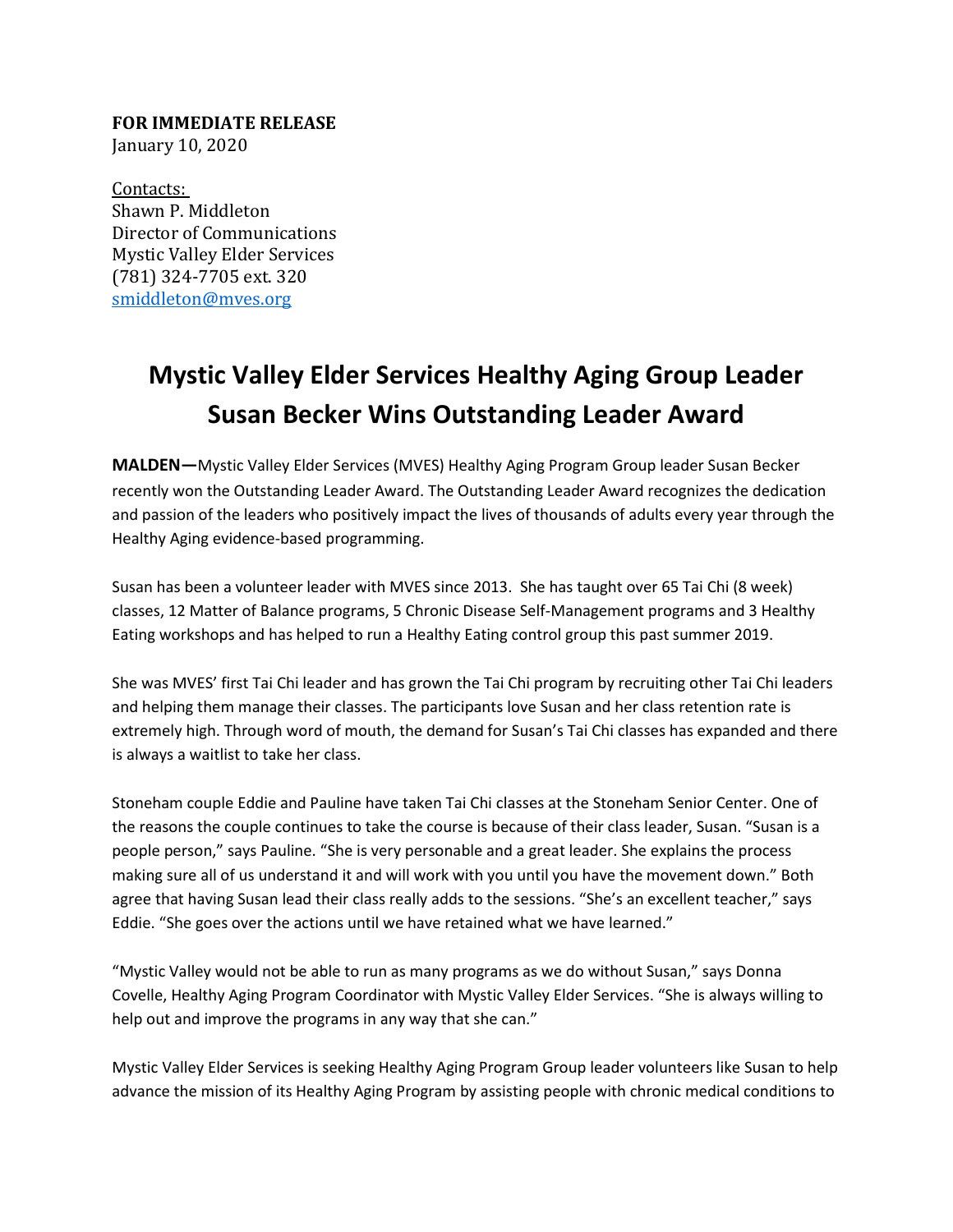**FOR IMMEDIATE RELEASE** January 10, 2020

Contacts: Shawn P. Middleton Director of Communications Mystic Valley Elder Services (781) 324-7705 ext. 320 [smiddleton@mves.org](mailto:smiddleton@mves.org) 

## **Mystic Valley Elder Services Healthy Aging Group Leader Susan Becker Wins Outstanding Leader Award**

**MALDEN—**Mystic Valley Elder Services (MVES) Healthy Aging Program Group leader Susan Becker recently won the Outstanding Leader Award. The Outstanding Leader Award recognizes the dedication and passion of the leaders who positively impact the lives of thousands of adults every year through the Healthy Aging evidence-based programming.

Susan has been a volunteer leader with MVES since 2013. She has taught over 65 Tai Chi (8 week) classes, 12 Matter of Balance programs, 5 Chronic Disease Self-Management programs and 3 Healthy Eating workshops and has helped to run a Healthy Eating control group this past summer 2019.

She was MVES' first Tai Chi leader and has grown the Tai Chi program by recruiting other Tai Chi leaders and helping them manage their classes. The participants love Susan and her class retention rate is extremely high. Through word of mouth, the demand for Susan's Tai Chi classes has expanded and there is always a waitlist to take her class.

Stoneham couple Eddie and Pauline have taken Tai Chi classes at the Stoneham Senior Center. One of the reasons the couple continues to take the course is because of their class leader, Susan. "Susan is a people person," says Pauline. "She is very personable and a great leader. She explains the process making sure all of us understand it and will work with you until you have the movement down." Both agree that having Susan lead their class really adds to the sessions. "She's an excellent teacher," says Eddie. "She goes over the actions until we have retained what we have learned."

"Mystic Valley would not be able to run as many programs as we do without Susan," says Donna Covelle, Healthy Aging Program Coordinator with Mystic Valley Elder Services. "She is always willing to help out and improve the programs in any way that she can."

Mystic Valley Elder Services is seeking Healthy Aging Program Group leader volunteers like Susan to help advance the mission of its Healthy Aging Program by assisting people with chronic medical conditions to